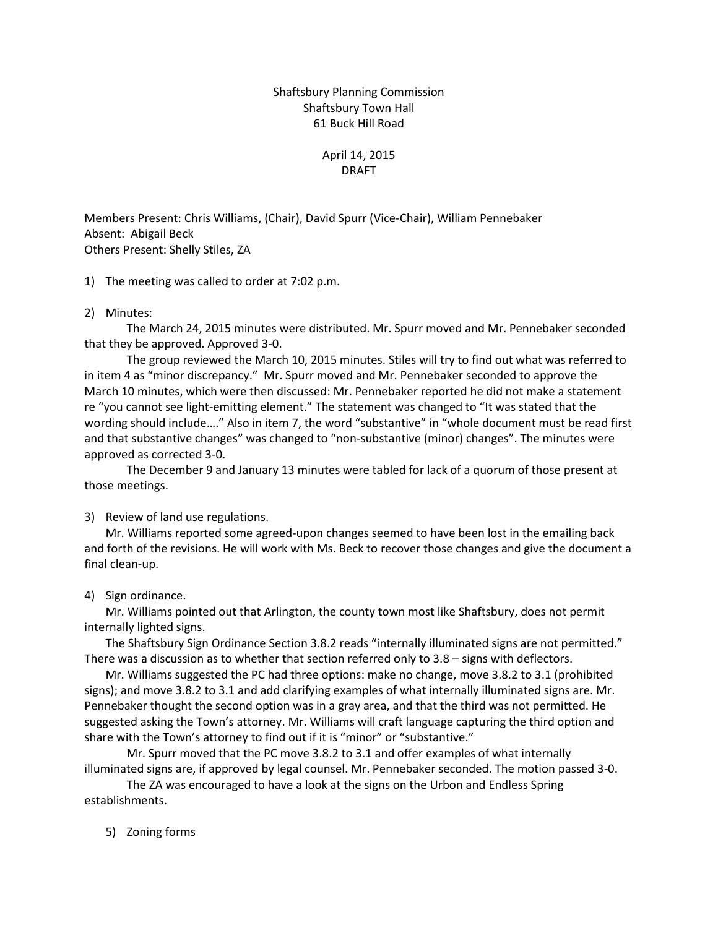Shaftsbury Planning Commission Shaftsbury Town Hall 61 Buck Hill Road

# April 14, 2015 DRAFT

Members Present: Chris Williams, (Chair), David Spurr (Vice-Chair), William Pennebaker Absent: Abigail Beck Others Present: Shelly Stiles, ZA

1) The meeting was called to order at 7:02 p.m.

# 2) Minutes:

The March 24, 2015 minutes were distributed. Mr. Spurr moved and Mr. Pennebaker seconded that they be approved. Approved 3-0.

The group reviewed the March 10, 2015 minutes. Stiles will try to find out what was referred to in item 4 as "minor discrepancy." Mr. Spurr moved and Mr. Pennebaker seconded to approve the March 10 minutes, which were then discussed: Mr. Pennebaker reported he did not make a statement re "you cannot see light-emitting element." The statement was changed to "It was stated that the wording should include…." Also in item 7, the word "substantive" in "whole document must be read first and that substantive changes" was changed to "non-substantive (minor) changes". The minutes were approved as corrected 3-0.

The December 9 and January 13 minutes were tabled for lack of a quorum of those present at those meetings.

### 3) Review of land use regulations.

Mr. Williams reported some agreed-upon changes seemed to have been lost in the emailing back and forth of the revisions. He will work with Ms. Beck to recover those changes and give the document a final clean-up.

### 4) Sign ordinance.

Mr. Williams pointed out that Arlington, the county town most like Shaftsbury, does not permit internally lighted signs.

The Shaftsbury Sign Ordinance Section 3.8.2 reads "internally illuminated signs are not permitted." There was a discussion as to whether that section referred only to 3.8 – signs with deflectors.

Mr. Williams suggested the PC had three options: make no change, move 3.8.2 to 3.1 (prohibited signs); and move 3.8.2 to 3.1 and add clarifying examples of what internally illuminated signs are. Mr. Pennebaker thought the second option was in a gray area, and that the third was not permitted. He suggested asking the Town's attorney. Mr. Williams will craft language capturing the third option and share with the Town's attorney to find out if it is "minor" or "substantive."

Mr. Spurr moved that the PC move 3.8.2 to 3.1 and offer examples of what internally illuminated signs are, if approved by legal counsel. Mr. Pennebaker seconded. The motion passed 3-0.

The ZA was encouraged to have a look at the signs on the Urbon and Endless Spring establishments.

5) Zoning forms